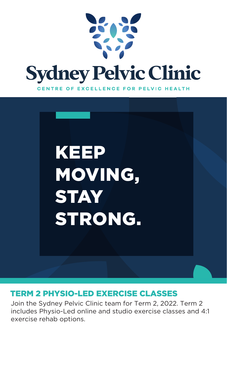



#### TERM 2 PHYSIO-LED EXERCISE CLASSES

Join the Sydney Pelvic Clinic team for Term 2, 2022. Term 2 includes Physio-Led online and studio exercise classes and 4:1 exercise rehab options.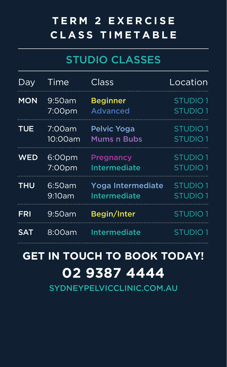## **TERM 2 EXERCISE CLASS T I M E T A B L E**

#### STUDIO CLASSES

| Dav        | Time    | Class               | Location            |
|------------|---------|---------------------|---------------------|
| <b>MON</b> | 9:50am  | <b>Beginner</b>     | STUDIO <sub>1</sub> |
|            | 7:00pm  | <b>Advanced</b>     | <b>STUDIO1</b>      |
| <b>TUE</b> | 7:00am  | Pelvic Yoga         | <b>STUDIO1</b>      |
|            | 10:00am | <b>Mums n Bubs</b>  | <b>STUDIO1</b>      |
| WED        | 6:00pm  | Pregnancy           | STUDIO <sub>1</sub> |
|            | 7:00pm  | Intermediate        | STUDIO <sub>1</sub> |
| THU        | 6:50am  | Yoga Intermediate   | STUDIO <sub>1</sub> |
|            | 9:10am  | <b>Intermediate</b> | STUDIO <sub>1</sub> |
| FRI        | 9:50am  | Begin/Inter         | <b>STUDIO1</b>      |
| SAT        | 8:00am  | Intermediate        | STUDIO 1            |

# **GET IN TOUCH TO BOOK TODAY! 02 9387 4444**

SYDNEYPELVICCLINIC.COM.AU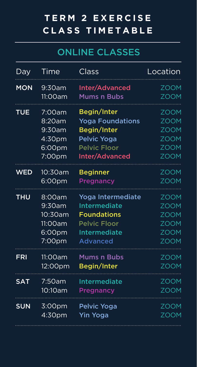# **TERM 2 EXERCISE CLASS T I M E T A B L E**

### ONLINE CLASSES

| Day        | Time               | Class                   | Location    |
|------------|--------------------|-------------------------|-------------|
| <b>MON</b> | 9:30am             | Inter/Advanced          | <b>ZOOM</b> |
|            | 11:00am            | <b>Mums n Bubs</b>      | <b>ZOOM</b> |
| <b>TUE</b> | 7:00am             | Begin/Inter             | <b>ZOOM</b> |
|            | 8:20am             | <b>Yoga Foundations</b> | <b>ZOOM</b> |
|            | 9:30am             | Begin/Inter             | <b>ZOOM</b> |
|            | 4:30pm             | Pelvic Yoga             | <b>ZOOM</b> |
|            | 6:00pm             | <b>Pelvic Floor</b>     | <b>ZOOM</b> |
|            | 7:00pm             | Inter/Advanced          | <b>ZOOM</b> |
| <b>WED</b> | 10:30am            | <b>Beginner</b>         | <b>ZOOM</b> |
|            | 6:00pm             | <b>Pregnancy</b>        | <b>ZOOM</b> |
| <b>THU</b> | 8:00am             | Yoga Intermediate       | <b>ZOOM</b> |
|            | $9:30$ am          | <b>Intermediate</b>     | <b>ZOOM</b> |
|            | 10:30am            | <b>Foundations</b>      | <b>ZOOM</b> |
|            | 11:00am            | <b>Pelvic Floor</b>     | <b>ZOOM</b> |
|            | 6:00pm             | <b>Intermediate</b>     | <b>ZOOM</b> |
|            | 7:00pm             | <b>Advanced</b>         | <b>ZOOM</b> |
| <b>FRI</b> | 11:00am            | <b>Mums n Bubs</b>      | <b>ZOOM</b> |
|            | 12:00pm            | Begin/Inter             | <b>ZOOM</b> |
| <b>SAT</b> | 7:50am             | <b>Intermediate</b>     | <b>ZOOM</b> |
|            | 10:10am            | Pregnancy               | <b>ZOOM</b> |
| <b>SUN</b> | 3:00pm             | Pelvic Yoga             | <b>ZOOM</b> |
|            | 4:30 <sub>pm</sub> | <b>Yin Yoga</b>         | <b>ZOOM</b> |